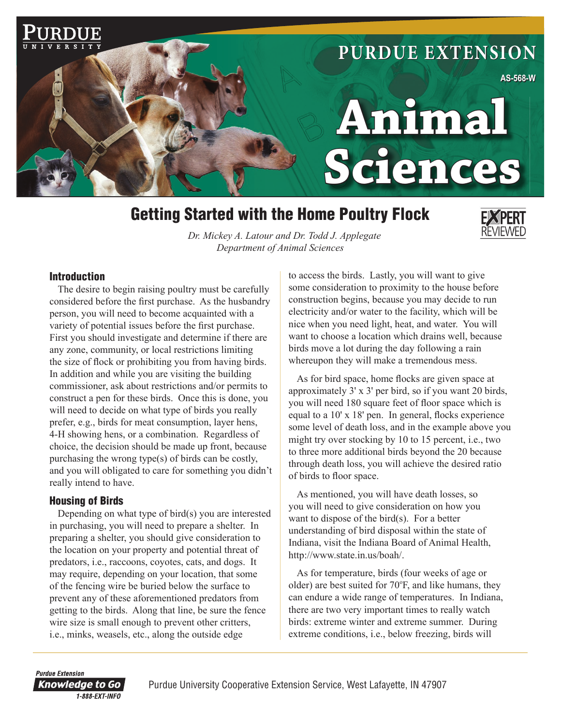

# Getting Started with the Home Poultry Flock



*Dr. Mickey A. Latour and Dr. Todd J. Applegate Department of Animal Sciences*

#### Introduction

The desire to begin raising poultry must be carefully considered before the first purchase. As the husbandry person, you will need to become acquainted with a variety of potential issues before the first purchase. First you should investigate and determine if there are any zone, community, or local restrictions limiting the size of flock or prohibiting you from having birds. In addition and while you are visiting the building commissioner, ask about restrictions and/or permits to construct a pen for these birds. Once this is done, you will need to decide on what type of birds you really prefer, e.g., birds for meat consumption, layer hens, 4-H showing hens, or a combination. Regardless of choice, the decision should be made up front, because purchasing the wrong type(s) of birds can be costly, and you will obligated to care for something you didn't really intend to have.

### Housing of Birds

Depending on what type of bird(s) you are interested in purchasing, you will need to prepare a shelter. In preparing a shelter, you should give consideration to the location on your property and potential threat of predators, i.e., raccoons, coyotes, cats, and dogs. It may require, depending on your location, that some of the fencing wire be buried below the surface to prevent any of these aforementioned predators from getting to the birds. Along that line, be sure the fence wire size is small enough to prevent other critters, i.e., minks, weasels, etc., along the outside edge

to access the birds. Lastly, you will want to give some consideration to proximity to the house before construction begins, because you may decide to run electricity and/or water to the facility, which will be nice when you need light, heat, and water. You will want to choose a location which drains well, because birds move a lot during the day following a rain whereupon they will make a tremendous mess.

As for bird space, home flocks are given space at approximately 3' x 3' per bird, so if you want 20 birds, you will need 180 square feet of floor space which is equal to a  $10'$  x  $18'$  pen. In general, flocks experience some level of death loss, and in the example above you might try over stocking by 10 to 15 percent, i.e., two to three more additional birds beyond the 20 because through death loss, you will achieve the desired ratio of birds to floor space.

As mentioned, you will have death losses, so you will need to give consideration on how you want to dispose of the bird(s). For a better understanding of bird disposal within the state of Indiana, visit the Indiana Board of Animal Health, http://www.state.in.us/boah/.

As for temperature, birds (four weeks of age or older) are best suited for 70°F, and like humans, they can endure a wide range of temperatures. In Indiana, there are two very important times to really watch birds: extreme winter and extreme summer. During extreme conditions, i.e., below freezing, birds will

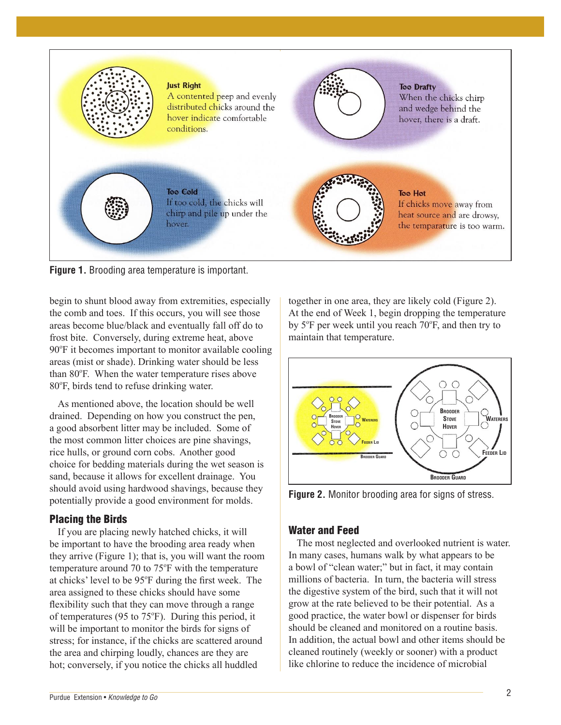

**Figure 1.** Brooding area temperature is important.

begin to shunt blood away from extremities, especially the comb and toes. If this occurs, you will see those areas become blue/black and eventually fall off do to frost bite. Conversely, during extreme heat, above 90°F it becomes important to monitor available cooling areas (mist or shade). Drinking water should be less than 80°F. When the water temperature rises above 80°F, birds tend to refuse drinking water.

As mentioned above, the location should be well drained. Depending on how you construct the pen, a good absorbent litter may be included. Some of the most common litter choices are pine shavings, rice hulls, or ground corn cobs. Another good choice for bedding materials during the wet season is sand, because it allows for excellent drainage. You should avoid using hardwood shavings, because they potentially provide a good environment for molds.

### Placing the Birds

If you are placing newly hatched chicks, it will be important to have the brooding area ready when they arrive (Figure 1); that is, you will want the room temperature around  $70$  to  $75^{\circ}$ F with the temperature at chicks' level to be 95°F during the first week. The area assigned to these chicks should have some flexibility such that they can move through a range of temperatures (95 to 75°F). During this period, it will be important to monitor the birds for signs of stress; for instance, if the chicks are scattered around the area and chirping loudly, chances are they are hot; conversely, if you notice the chicks all huddled

together in one area, they are likely cold (Figure 2). At the end of Week 1, begin dropping the temperature by 5°F per week until you reach 70°F, and then try to maintain that temperature.



**Figure 2.** Monitor brooding area for signs of stress.

### Water and Feed

The most neglected and overlooked nutrient is water. In many cases, humans walk by what appears to be a bowl of "clean water;" but in fact, it may contain millions of bacteria. In turn, the bacteria will stress the digestive system of the bird, such that it will not grow at the rate believed to be their potential. As a good practice, the water bowl or dispenser for birds should be cleaned and monitored on a routine basis. In addition, the actual bowl and other items should be cleaned routinely (weekly or sooner) with a product like chlorine to reduce the incidence of microbial